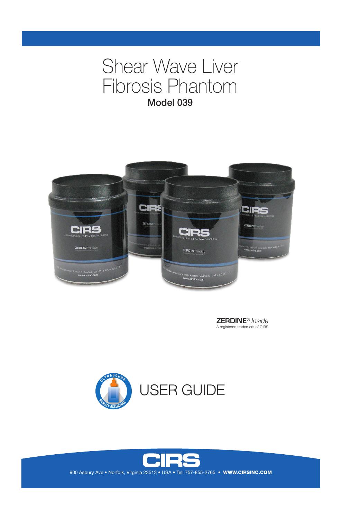# Shear Wave Liver Fibrosis Phantom Model 039



ZERDINE® *Inside* A registered trademark of CIRS





900 Asbury Ave . Norfolk, Virginia 23513 . USA . Tel: 757-855-2765 . WWW.CIRSINC.COM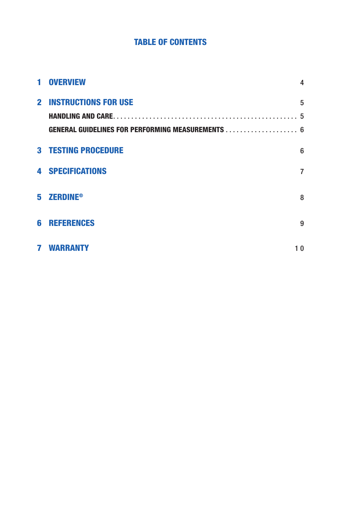## **TABLE OF CONTENTS**

| 1 | <b>OVERVIEW</b>                                          | 4  |
|---|----------------------------------------------------------|----|
|   | <b>2 INSTRUCTIONS FOR USE</b>                            | 5  |
|   |                                                          |    |
|   | <b>GENERAL GUIDELINES FOR PERFORMING MEASUREMENTS  6</b> |    |
|   | <b>3 TESTING PROCEDURE</b>                               | 6  |
|   | <b>4 SPECIFICATIONS</b>                                  | 7  |
|   | 5 ZERDINE <sup>®</sup>                                   | 8  |
| 6 | <b>REFERENCES</b>                                        | 9  |
| 7 | WARRANTY                                                 | 10 |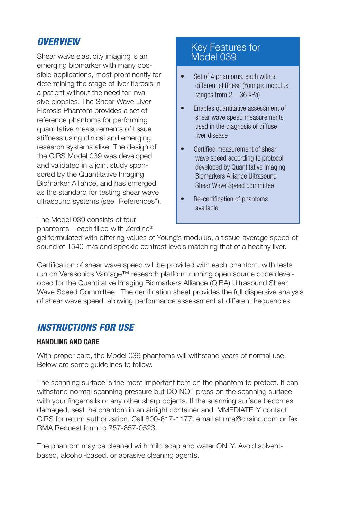## *OVERVIEW*

Shear wave elasticity imaging is an emerging biomarker with many possible applications, most prominently for determining the stage of liver fibrosis in a patient without the need for invasive biopsies. The Shear Wave Liver Fibrosis Phantom provides a set of reference phantoms for performing quantitative measurements of tissue stiffness using clinical and emerging research systems alike. The design of the CIRS Model 039 was developed and validated in a joint study sponsored by the Quantitative Imaging Biomarker Alliance, and has emerged as the standard for testing shear wave ultrasound systems (see "References").

Key Features for Model 039

- Set of 4 phantoms, each with a different stiffness (Young's modulus ranges from 2 – 36 kPa)
- Enables quantitative assessment of shear wave speed measurements used in the diagnosis of diffuse liver disease
- Certified measurement of shear wave speed according to protocol developed by Quantitative Imaging Biomarkers Alliance Ultrasound Shear Wave Speed committee
- Re-certification of phantoms available

The Model 039 consists of four phantoms – each filled with Zerdine®

gel formulated with differing values of Young's modulus, a tissue-average speed of sound of 1540 m/s and speckle contrast levels matching that of a healthy liver.

Certification of shear wave speed will be provided with each phantom, with tests run on Verasonics Vantage™ research platform running open source code developed for the Quantitative Imaging Biomarkers Alliance (QIBA) Ultrasound Shear Wave Speed Committee. The certification sheet provides the full dispersive analysis of shear wave speed, allowing performance assessment at different frequencies.

# *INSTRUCTIONS FOR USE*

#### **HANDLING AND CARE**

With proper care, the Model 039 phantoms will withstand years of normal use. Below are some guidelines to follow.

The scanning surface is the most important item on the phantom to protect. It can withstand normal scanning pressure but DO NOT press on the scanning surface with your fingernails or any other sharp objects. If the scanning surface becomes damaged, seal the phantom in an airtight container and IMMEDIATELY contact CIRS for return authorization. Call 800-617-1177, email at rma@cirsinc.com or fax RMA Request form to 757-857-0523.

The phantom may be cleaned with mild soap and water ONLY. Avoid solventbased, alcohol-based, or abrasive cleaning agents.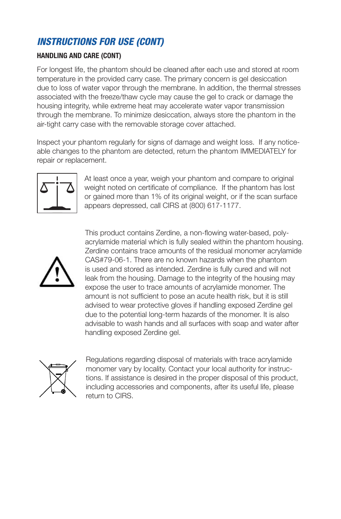# *INSTRUCTIONS FOR USE (CONT)*

#### **HANDLING AND CARE (CONT)**

For longest life, the phantom should be cleaned after each use and stored at room temperature in the provided carry case. The primary concern is gel desiccation due to loss of water vapor through the membrane. In addition, the thermal stresses associated with the freeze/thaw cycle may cause the gel to crack or damage the housing integrity, while extreme heat may accelerate water vapor transmission through the membrane. To minimize desiccation, always store the phantom in the air-tight carry case with the removable storage cover attached.

Inspect your phantom regularly for signs of damage and weight loss. If any noticeable changes to the phantom are detected, return the phantom IMMEDIATELY for repair or replacement.



At least once a year, weigh your phantom and compare to original weight noted on certificate of compliance. If the phantom has lost or gained more than 1% of its original weight, or if the scan surface appears depressed, call CIRS at (800) 617-1177.



This product contains Zerdine, a non-flowing water-based, polyacrylamide material which is fully sealed within the phantom housing. Zerdine contains trace amounts of the residual monomer acrylamide CAS#79-06-1. There are no known hazards when the phantom is used and stored as intended. Zerdine is fully cured and will not leak from the housing. Damage to the integrity of the housing may expose the user to trace amounts of acrylamide monomer. The amount is not sufficient to pose an acute health risk, but it is still advised to wear protective gloves if handling exposed Zerdine gel due to the potential long-term hazards of the monomer. It is also advisable to wash hands and all surfaces with soap and water after handling exposed Zerdine gel.



Regulations regarding disposal of materials with trace acrylamide monomer vary by locality. Contact your local authority for instructions. If assistance is desired in the proper disposal of this product, including accessories and components, after its useful life, please return to CIRS.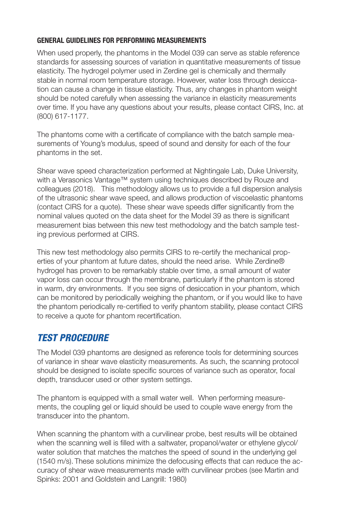#### **GENERAL GUIDELINES FOR PERFORMING MEASUREMENTS**

When used properly, the phantoms in the Model 039 can serve as stable reference standards for assessing sources of variation in quantitative measurements of tissue elasticity. The hydrogel polymer used in Zerdine gel is chemically and thermally stable in normal room temperature storage. However, water loss through desiccation can cause a change in tissue elasticity. Thus, any changes in phantom weight should be noted carefully when assessing the variance in elasticity measurements over time. If you have any questions about your results, please contact CIRS, Inc. at (800) 617-1177.

The phantoms come with a certificate of compliance with the batch sample measurements of Young's modulus, speed of sound and density for each of the four phantoms in the set.

Shear wave speed characterization performed at Nightingale Lab, Duke University, with a Verasonics Vantage™ system using techniques described by Rouze and colleagues (2018). This methodology allows us to provide a full dispersion analysis of the ultrasonic shear wave speed, and allows production of viscoelastic phantoms (contact CIRS for a quote). These shear wave speeds differ significantly from the nominal values quoted on the data sheet for the Model 39 as there is significant measurement bias between this new test methodology and the batch sample testing previous performed at CIRS.

This new test methodology also permits CIRS to re-certify the mechanical properties of your phantom at future dates, should the need arise. While Zerdine® hydrogel has proven to be remarkably stable over time, a small amount of water vapor loss can occur through the membrane, particularly if the phantom is stored in warm, dry environments. If you see signs of desiccation in your phantom, which can be monitored by periodically weighing the phantom, or if you would like to have the phantom periodically re-certified to verify phantom stability, please contact CIRS to receive a quote for phantom recertification.

# *TEST PROCEDURE*

The Model 039 phantoms are designed as reference tools for determining sources of variance in shear wave elasticity measurements. As such, the scanning protocol should be designed to isolate specific sources of variance such as operator, focal depth, transducer used or other system settings.

The phantom is equipped with a small water well. When performing measurements, the coupling gel or liquid should be used to couple wave energy from the transducer into the phantom.

When scanning the phantom with a curvilinear probe, best results will be obtained when the scanning well is filled with a saltwater, propanol/water or ethylene glycol/ water solution that matches the matches the speed of sound in the underlying gel (1540 m/s). These solutions minimize the defocusing effects that can reduce the accuracy of shear wave measurements made with curvilinear probes (see Martin and Spinks: 2001 and Goldstein and Langrill: 1980)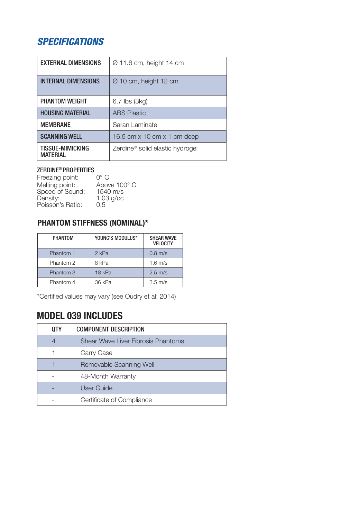# *SPECIFICATIONS*

| <b>EXTERNAL DIMENSIONS</b>          | Ø 11.6 cm, height 14 cm                     |
|-------------------------------------|---------------------------------------------|
| <b>INTERNAL DIMENSIONS</b>          | Ø 10 cm, height 12 cm                       |
| <b>PHANTOM WEIGHT</b>               | 6.7 lbs (3kg)                               |
| <b>HOUSING MATERIAL</b>             | <b>ABS Plastic</b>                          |
| <b>MEMBRANE</b>                     | Saran Laminate                              |
| <b>SCANNING WELL</b>                | 16.5 cm x 10 cm x 1 cm deep                 |
| TISSUE-MIMICKING<br><b>MATFRIAL</b> | Zerdine <sup>®</sup> solid elastic hydrogel |

## ZERDINE® PROPERTIES

| Freezing point:  | ∩° C               |
|------------------|--------------------|
| Melting point:   | Above 100° C       |
| Speed of Sound:  | $1540 \text{ m/s}$ |
| Density:         | $1.03$ g/cc        |
| Poisson's Ratio: | 0.5                |
|                  |                    |

## **PHANTOM STIFFNESS (NOMINAL)\***

| PHANTOM   | YOUNG'S MODULUS* | <b>SHEAR WAVE</b><br><b>VELOCITY</b> |
|-----------|------------------|--------------------------------------|
| Phantom 1 | 2 kPa            | $0.8$ m/s                            |
| Phantom 2 | 8 kPa            | $1.6 \text{ m/s}$                    |
| Phantom 3 | $18$ kPa         | $2.5 \text{ m/s}$                    |
| Phantom 4 | 36 kPa           | $3.5 \text{ m/s}$                    |

\*Certified values may vary (see Oudry et al: 2014)

# **MODEL 039 INCLUDES**

| <b>QTY</b> | <b>COMPONENT DESCRIPTION</b>       |  |
|------------|------------------------------------|--|
| 4          | Shear Wave Liver Fibrosis Phantoms |  |
|            | Carry Case                         |  |
|            | Removable Scanning Well            |  |
|            | 48-Month Warranty                  |  |
|            | <b>User Guide</b>                  |  |
|            | Certificate of Compliance          |  |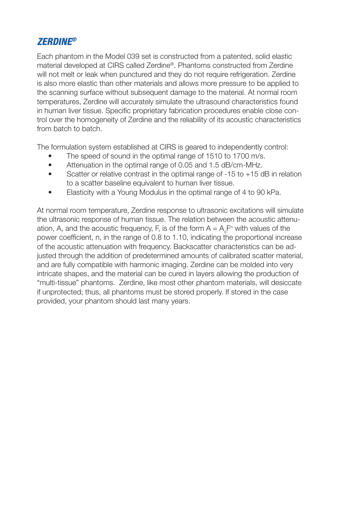## *ZERDINE®*

Each phantom in the Model 039 set is constructed from a patented, solid elastic material developed at CIRS called Zerdine®. Phantoms constructed from Zerdine will not melt or leak when punctured and they do not require refrigeration. Zerdine is also more elastic than other materials and allows more pressure to be applied to the scanning surface without subsequent damage to the material. At normal room temperatures, Zerdine will accurately simulate the ultrasound characteristics found in human liver tissue. Specific proprietary fabrication procedures enable close control over the homogeneity of Zerdine and the reliability of its acoustic characteristics from batch to batch.

The formulation system established at CIRS is geared to independently control:

- The speed of sound in the optimal range of 1510 to 1700 m/s.
- Attenuation in the optimal range of 0.05 and 1.5 dB/cm-MHz.
- Scatter or relative contrast in the optimal range of -15 to +15 dB in relation to a scatter baseline equivalent to human liver tissue.
- Elasticity with a Young Modulus in the optimal range of 4 to 90 kPa.

At normal room temperature, Zerdine response to ultrasonic excitations will simulate the ultrasonic response of human tissue. The relation between the acoustic attenuation, A, and the acoustic frequency, F, is of the form  $A = A_{\circ}F^n$  with values of the power coefficient, n, in the range of 0.8 to 1.10, indicating the proportional increase of the acoustic attenuation with frequency. Backscatter characteristics can be adjusted through the addition of predetermined amounts of calibrated scatter material, and are fully compatible with harmonic imaging. Zerdine can be molded into very intricate shapes, and the material can be cured in layers allowing the production of "multi-tissue" phantoms. Zerdine, like most other phantom materials, will desiccate if unprotected; thus, all phantoms must be stored properly. If stored in the case provided, your phantom should last many years.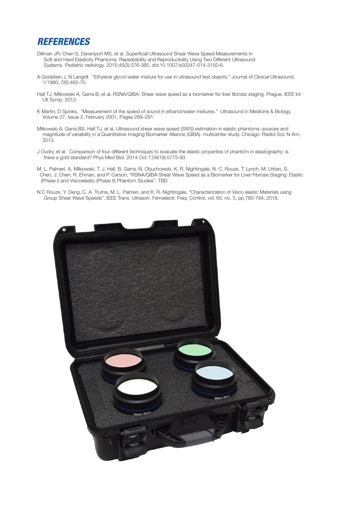#### *REFERENCES*

- Dillman JR, Chen S, Davenport MS, et al. Superficial Ultrasound Shear Wave Speed Measurements in Soft and Hard Elasticity Phantoms: Repeatability and Reproducibility Using Two Different Ultrasound Systems. Pediatric radiology. 2015;45(3):376-385. doi:10.1007/s00247-014-3150-6.
- A Goldstein, L N Langrill. "Ethylene glycol-water mixture for use in ultrasound test objects." Journal of Clinical Ultrasound. 1/1980; 7(6):465-70.
- Hall TJ, Milkowski A, Garra B, et al. RSNA/QIBA: Shear wave speed as a biomarker for liver fibrosis staging. Prague. IEEE Int Ult Symp; 2013.
- K Martin, D Spinks. "Measurement of the speed of sound in ethanol/water mixtures." Ultrasound in Medicine & Biology, Volume 27, Issue 2, February 2001, Pages 289–291.
- Milkowski A, Garra BS, Hall TJ, et al. Ultrasound shear wave speed (SWS) estimation in elastic phantoms: sources and magnitude of variability in a Quantitative Imaging Biomarker Alliance (QIBA) multicenter study. Chicago: Radiol Soc N Am; 2013.
- J Oudry, et al. Comparison of four different techniques to evaluate the elastic properties of phantom in elastography: is there a gold standard? Phys Med Biol. 2014 Oct 7;59(19):5775-93.
- M. L. Palmeri, A. Milkowski, T. J. Hall, B. Garra, N. Obuchowski, K. R. Nightingale, N. C. Rouze, T. Lynch, M. Urban, S. Chen, J. Chen, R. Ehman, and P. Carson, "RSNA/QIBA Shear Wave Speed as a Biomarker for Liver Fibrosis Staging: Elastic (Phase I) and Viscoelastic (Phase II) Phantom Studies", TBD
- N.C Rouze, Y. Deng, C. A. Trutna, M. L. Palmeri, and K. R. Nightingale, "Characterization of Visco elastic Materials using Group Shear Wave Speeds", IEEE Trans. Ultrason. Ferroelectr. Freq. Control, vol. 65, no. 5, pp.780-794, 2018.

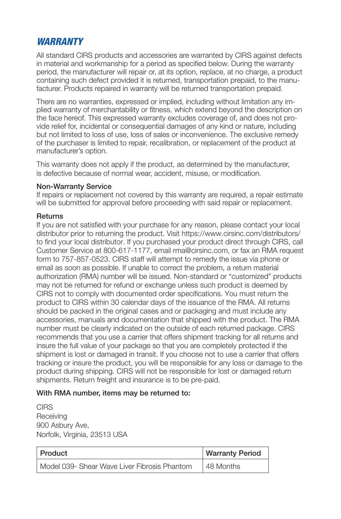## *WARRANTY*

All standard CIRS products and accessories are warranted by CIRS against defects in material and workmanship for a period as specified below. During the warranty period, the manufacturer will repair or, at its option, replace, at no charge, a product containing such defect provided it is returned, transportation prepaid, to the manufacturer. Products repaired in warranty will be returned transportation prepaid.

There are no warranties, expressed or implied, including without limitation any implied warranty of merchantability or fitness, which extend beyond the description on the face hereof. This expressed warranty excludes coverage of, and does not provide relief for, incidental or consequential damages of any kind or nature, including but not limited to loss of use, loss of sales or inconvenience. The exclusive remedy of the purchaser is limited to repair, recalibration, or replacement of the product at manufacturer's option.

This warranty does not apply if the product, as determined by the manufacturer, is defective because of normal wear, accident, misuse, or modification.

#### Non-Warranty Service

If repairs or replacement not covered by this warranty are required, a repair estimate will be submitted for approval before proceeding with said repair or replacement.

#### **Returns**

If you are not satisfied with your purchase for any reason, please contact your local distributor prior to returning the product. Visit https://www.cirsinc.com/distributors/ to find your local distributor. If you purchased your product direct through CIRS, call Customer Service at 800-617-1177, email rma@cirsinc.com, or fax an RMA request form to 757-857-0523. CIRS staff will attempt to remedy the issue via phone or email as soon as possible. If unable to correct the problem, a return material authorization (RMA) number will be issued. Non-standard or "customized" products may not be returned for refund or exchange unless such product is deemed by CIRS not to comply with documented order specifications. You must return the product to CIRS within 30 calendar days of the issuance of the RMA. All returns should be packed in the original cases and or packaging and must include any accessories, manuals and documentation that shipped with the product. The RMA number must be clearly indicated on the outside of each returned package. CIRS recommends that you use a carrier that offers shipment tracking for all returns and insure the full value of your package so that you are completely protected if the shipment is lost or damaged in transit. If you choose not to use a carrier that offers tracking or insure the product, you will be responsible for any loss or damage to the product during shipping. CIRS will not be responsible for lost or damaged return shipments. Return freight and insurance is to be pre-paid.

#### With RMA number, items may be returned to:

**CIRS Receiving** 900 Asbury Ave, Norfolk, Virginia, 23513 USA

| Product                                      | <b>Warranty Period</b> |
|----------------------------------------------|------------------------|
| Model 039- Shear Wave Liver Fibrosis Phantom | 48 Months              |